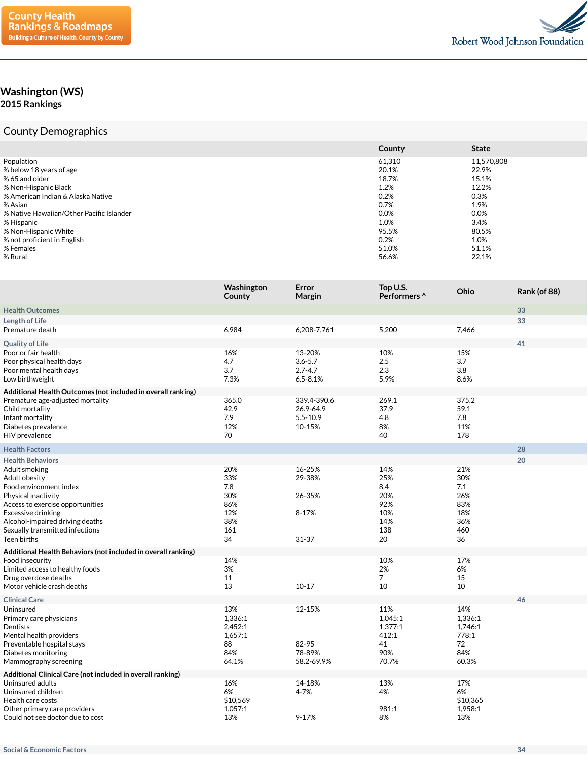

## **Washington (WS) 2015 Rankings**

## County Demographics

|                                          | County | <b>State</b> |
|------------------------------------------|--------|--------------|
| Population                               | 61,310 | 11,570,808   |
| % below 18 years of age                  | 20.1%  | 22.9%        |
| % 65 and older                           | 18.7%  | 15.1%        |
| % Non-Hispanic Black                     | 1.2%   | 12.2%        |
| % American Indian & Alaska Native        | 0.2%   | 0.3%         |
| % Asian                                  | 0.7%   | 1.9%         |
| % Native Hawaiian/Other Pacific Islander | 0.0%   | 0.0%         |
| % Hispanic                               | 1.0%   | 3.4%         |
| % Non-Hispanic White                     | 95.5%  | 80.5%        |
| % not proficient in English              | 0.2%   | 1.0%         |
| % Females                                | 51.0%  | 51.1%        |
| % Rural                                  | 56.6%  | 22.1%        |

|                                                                                                                                                                                                                                | Washington<br>County                                       | Error<br>Margin                                      | Top U.S.<br>Performers ^                                   | Ohio                                                       | <b>Rank (of 88)</b> |
|--------------------------------------------------------------------------------------------------------------------------------------------------------------------------------------------------------------------------------|------------------------------------------------------------|------------------------------------------------------|------------------------------------------------------------|------------------------------------------------------------|---------------------|
| <b>Health Outcomes</b>                                                                                                                                                                                                         |                                                            |                                                      |                                                            |                                                            | 33                  |
| Length of Life                                                                                                                                                                                                                 |                                                            |                                                      |                                                            |                                                            | 33                  |
| Premature death                                                                                                                                                                                                                | 6,984                                                      | 6,208-7,761                                          | 5,200                                                      | 7,466                                                      |                     |
| <b>Quality of Life</b>                                                                                                                                                                                                         |                                                            |                                                      |                                                            |                                                            | 41                  |
| Poor or fair health<br>Poor physical health days<br>Poor mental health days<br>Low birthweight                                                                                                                                 | 16%<br>4.7<br>3.7<br>7.3%                                  | 13-20%<br>$3.6 - 5.7$<br>$2.7 - 4.7$<br>$6.5 - 8.1%$ | 10%<br>2.5<br>2.3<br>5.9%                                  | 15%<br>3.7<br>3.8<br>8.6%                                  |                     |
| Additional Health Outcomes (not included in overall ranking)<br>Premature age-adjusted mortality<br>Child mortality<br>Infant mortality<br>Diabetes prevalence<br>HIV prevalence                                               | 365.0<br>42.9<br>7.9<br>12%<br>70                          | 339.4-390.6<br>26.9-64.9<br>$5.5 - 10.9$<br>10-15%   | 269.1<br>37.9<br>4.8<br>8%<br>40                           | 375.2<br>59.1<br>7.8<br>11%<br>178                         |                     |
| <b>Health Factors</b>                                                                                                                                                                                                          |                                                            |                                                      |                                                            |                                                            | 28                  |
| <b>Health Behaviors</b>                                                                                                                                                                                                        |                                                            |                                                      |                                                            |                                                            | 20                  |
| Adult smoking<br>Adult obesity<br>Food environment index<br>Physical inactivity<br>Access to exercise opportunities<br>Excessive drinking<br>Alcohol-impaired driving deaths<br>Sexually transmitted infections<br>Teen births | 20%<br>33%<br>7.8<br>30%<br>86%<br>12%<br>38%<br>161<br>34 | 16-25%<br>29-38%<br>26-35%<br>8-17%<br>$31 - 37$     | 14%<br>25%<br>8.4<br>20%<br>92%<br>10%<br>14%<br>138<br>20 | 21%<br>30%<br>7.1<br>26%<br>83%<br>18%<br>36%<br>460<br>36 |                     |
| Additional Health Behaviors (not included in overall ranking)                                                                                                                                                                  |                                                            |                                                      |                                                            |                                                            |                     |
| Food insecurity<br>Limited access to healthy foods<br>Drug overdose deaths<br>Motor vehicle crash deaths                                                                                                                       | 14%<br>3%<br>11<br>13                                      | $10 - 17$                                            | 10%<br>2%<br>$\overline{7}$<br>10                          | 17%<br>6%<br>15<br>10                                      |                     |
| <b>Clinical Care</b>                                                                                                                                                                                                           |                                                            |                                                      |                                                            |                                                            | 46                  |
| Uninsured<br>Primary care physicians<br>Dentists<br>Mental health providers<br>Preventable hospital stays<br>Diabetes monitoring<br>Mammography screening                                                                      | 13%<br>1,336:1<br>2,452:1<br>1,657:1<br>88<br>84%<br>64.1% | 12-15%<br>82-95<br>78-89%<br>58.2-69.9%              | 11%<br>1,045:1<br>1,377:1<br>412:1<br>41<br>90%<br>70.7%   | 14%<br>1,336:1<br>1,746:1<br>778:1<br>72<br>84%<br>60.3%   |                     |
| Additional Clinical Care (not included in overall ranking)                                                                                                                                                                     |                                                            |                                                      |                                                            |                                                            |                     |
| Uninsured adults<br>Uninsured children<br>Health care costs<br>Other primary care providers<br>Could not see doctor due to cost                                                                                                | 16%<br>6%<br>\$10,569<br>1,057:1<br>13%                    | 14-18%<br>4-7%<br>$9 - 17%$                          | 13%<br>4%<br>981:1<br>8%                                   | 17%<br>6%<br>\$10,365<br>1,958:1<br>13%                    |                     |